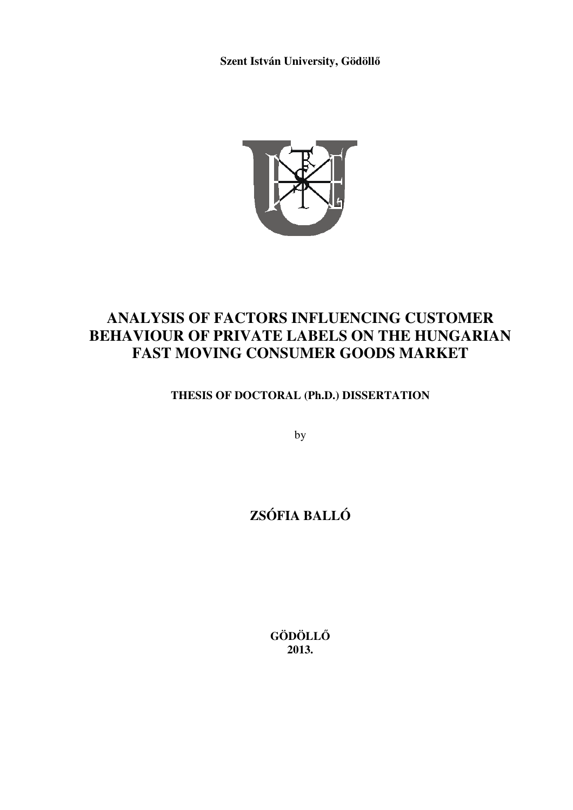**Szent István University, Gödöllő**



# **ANALYSIS OF FACTORS INFLUENCING CUSTOMER BEHAVIOUR OF PRIVATE LABELS ON THE HUNGARIAN FAST MOVING CONSUMER GOODS MARKET**

**THESIS OF DOCTORAL (Ph.D.) DISSERTATION** 

by

# **ZSÓFIA BALLÓ**

**GÖDÖLLŐ 2013.**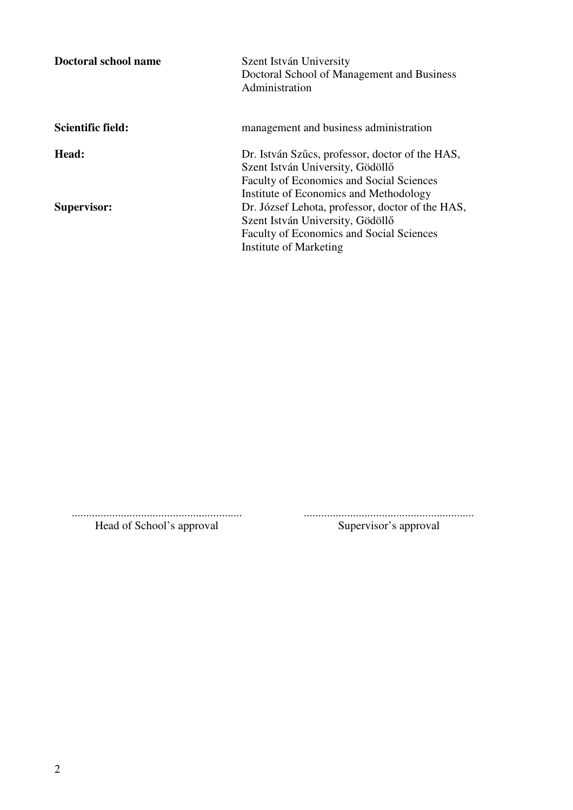| Doctoral school name | Szent István University<br>Doctoral School of Management and Business<br>Administration                                                                                          |
|----------------------|----------------------------------------------------------------------------------------------------------------------------------------------------------------------------------|
| Scientific field:    | management and business administration                                                                                                                                           |
| Head:                | Dr. István Szűcs, professor, doctor of the HAS,<br>Szent István University, Gödöllő<br><b>Faculty of Economics and Social Sciences</b><br>Institute of Economics and Methodology |
| <b>Supervisor:</b>   | Dr. József Lehota, professor, doctor of the HAS,<br>Szent István University, Gödöllő<br>Faculty of Economics and Social Sciences<br>Institute of Marketing                       |

........................................................... ........................................................... Head of School's approval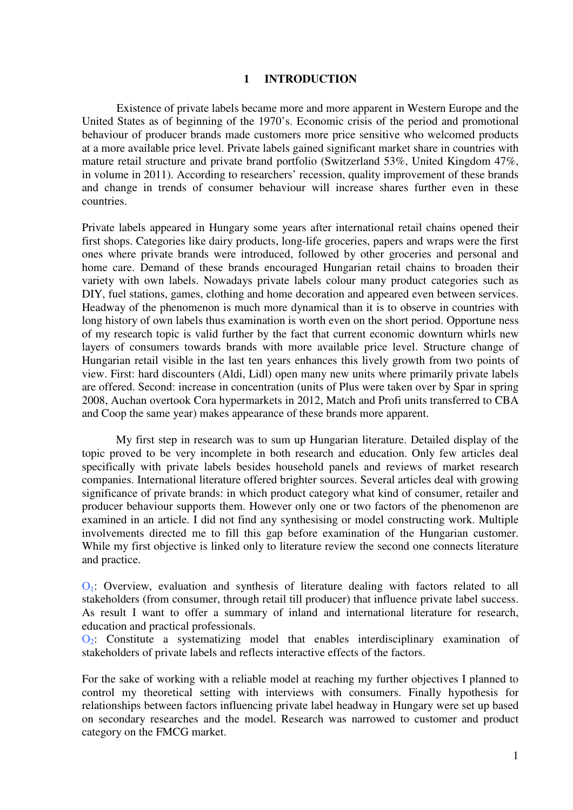#### **1 INTRODUCTION**

Existence of private labels became more and more apparent in Western Europe and the United States as of beginning of the 1970's. Economic crisis of the period and promotional behaviour of producer brands made customers more price sensitive who welcomed products at a more available price level. Private labels gained significant market share in countries with mature retail structure and private brand portfolio (Switzerland 53%, United Kingdom 47%, in volume in 2011). According to researchers' recession, quality improvement of these brands and change in trends of consumer behaviour will increase shares further even in these countries.

Private labels appeared in Hungary some years after international retail chains opened their first shops. Categories like dairy products, long-life groceries, papers and wraps were the first ones where private brands were introduced, followed by other groceries and personal and home care. Demand of these brands encouraged Hungarian retail chains to broaden their variety with own labels. Nowadays private labels colour many product categories such as DIY, fuel stations, games, clothing and home decoration and appeared even between services. Headway of the phenomenon is much more dynamical than it is to observe in countries with long history of own labels thus examination is worth even on the short period. Opportune ness of my research topic is valid further by the fact that current economic downturn whirls new layers of consumers towards brands with more available price level. Structure change of Hungarian retail visible in the last ten years enhances this lively growth from two points of view. First: hard discounters (Aldi, Lidl) open many new units where primarily private labels are offered. Second: increase in concentration (units of Plus were taken over by Spar in spring 2008, Auchan overtook Cora hypermarkets in 2012, Match and Profi units transferred to CBA and Coop the same year) makes appearance of these brands more apparent.

 My first step in research was to sum up Hungarian literature. Detailed display of the topic proved to be very incomplete in both research and education. Only few articles deal specifically with private labels besides household panels and reviews of market research companies. International literature offered brighter sources. Several articles deal with growing significance of private brands: in which product category what kind of consumer, retailer and producer behaviour supports them. However only one or two factors of the phenomenon are examined in an article. I did not find any synthesising or model constructing work. Multiple involvements directed me to fill this gap before examination of the Hungarian customer. While my first objective is linked only to literature review the second one connects literature and practice.

 $O<sub>1</sub>$ : Overview, evaluation and synthesis of literature dealing with factors related to all stakeholders (from consumer, through retail till producer) that influence private label success. As result I want to offer a summary of inland and international literature for research, education and practical professionals.

 $\overline{Q_2}$ : Constitute a systematizing model that enables interdisciplinary examination of stakeholders of private labels and reflects interactive effects of the factors.

For the sake of working with a reliable model at reaching my further objectives I planned to control my theoretical setting with interviews with consumers. Finally hypothesis for relationships between factors influencing private label headway in Hungary were set up based on secondary researches and the model. Research was narrowed to customer and product category on the FMCG market.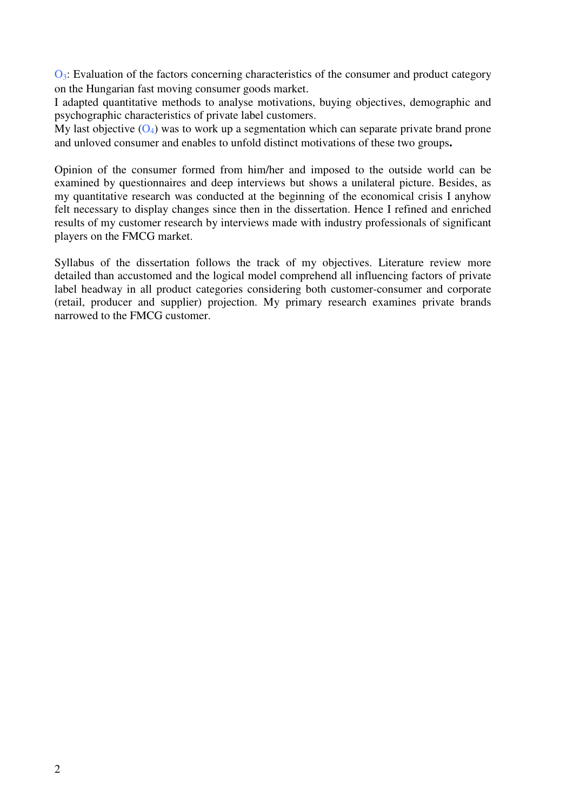$\mathbf{O}_3$ : Evaluation of the factors concerning characteristics of the consumer and product category on the Hungarian fast moving consumer goods market.

I adapted quantitative methods to analyse motivations, buying objectives, demographic and psychographic characteristics of private label customers.

My last objective  $(O_4)$  was to work up a segmentation which can separate private brand prone and unloved consumer and enables to unfold distinct motivations of these two groups**.** 

Opinion of the consumer formed from him/her and imposed to the outside world can be examined by questionnaires and deep interviews but shows a unilateral picture. Besides, as my quantitative research was conducted at the beginning of the economical crisis I anyhow felt necessary to display changes since then in the dissertation. Hence I refined and enriched results of my customer research by interviews made with industry professionals of significant players on the FMCG market.

Syllabus of the dissertation follows the track of my objectives. Literature review more detailed than accustomed and the logical model comprehend all influencing factors of private label headway in all product categories considering both customer-consumer and corporate (retail, producer and supplier) projection. My primary research examines private brands narrowed to the FMCG customer.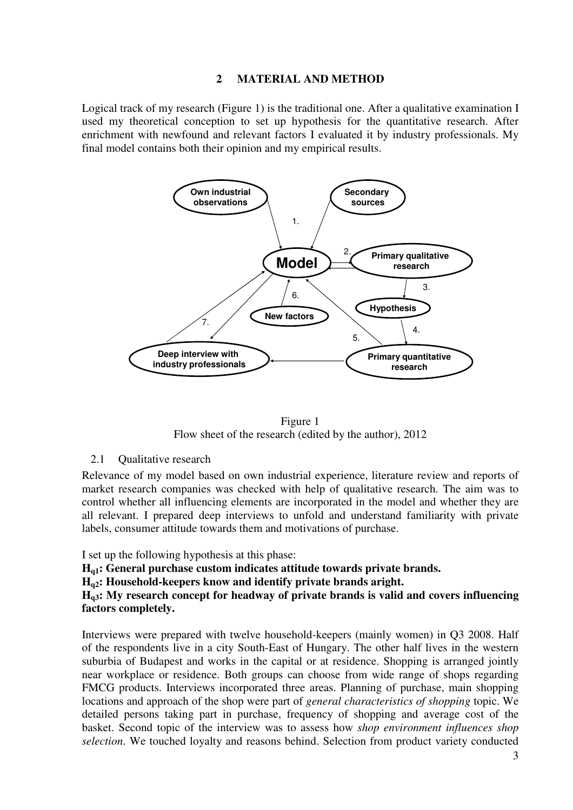### **2 MATERIAL AND METHOD**

Logical track of my research (Figure 1) is the traditional one. After a qualitative examination I used my theoretical conception to set up hypothesis for the quantitative research. After enrichment with newfound and relevant factors I evaluated it by industry professionals. My final model contains both their opinion and my empirical results.



Figure 1 Flow sheet of the research (edited by the author), 2012

2.1 **Qualitative research** 

Relevance of my model based on own industrial experience, literature review and reports of market research companies was checked with help of qualitative research. The aim was to control whether all influencing elements are incorporated in the model and whether they are all relevant. I prepared deep interviews to unfold and understand familiarity with private labels, consumer attitude towards them and motivations of purchase.

I set up the following hypothesis at this phase:

**Hq1: General purchase custom indicates attitude towards private brands.** 

**Hq2: Household-keepers know and identify private brands aright.** 

**Hq3: My research concept for headway of private brands is valid and covers influencing factors completely.** 

Interviews were prepared with twelve household-keepers (mainly women) in Q3 2008. Half of the respondents live in a city South-East of Hungary. The other half lives in the western suburbia of Budapest and works in the capital or at residence. Shopping is arranged jointly near workplace or residence. Both groups can choose from wide range of shops regarding FMCG products. Interviews incorporated three areas. Planning of purchase, main shopping locations and approach of the shop were part of *general characteristics of shopping* topic. We detailed persons taking part in purchase, frequency of shopping and average cost of the basket. Second topic of the interview was to assess how *shop environment influences shop selection*. We touched loyalty and reasons behind. Selection from product variety conducted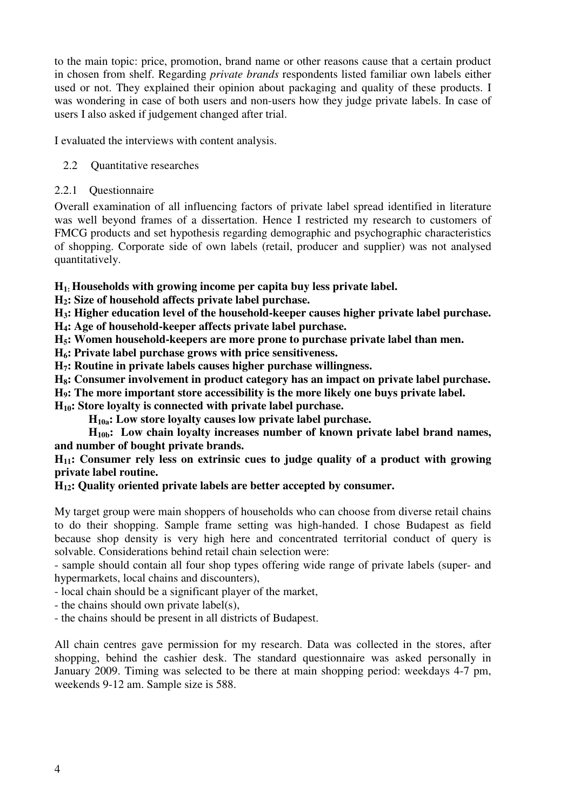to the main topic: price, promotion, brand name or other reasons cause that a certain product in chosen from shelf. Regarding *private brands* respondents listed familiar own labels either used or not. They explained their opinion about packaging and quality of these products. I was wondering in case of both users and non-users how they judge private labels. In case of users I also asked if judgement changed after trial.

I evaluated the interviews with content analysis.

- 2.2 Quantitative researches
- 2.2.1 Questionnaire

Overall examination of all influencing factors of private label spread identified in literature was well beyond frames of a dissertation. Hence I restricted my research to customers of FMCG products and set hypothesis regarding demographic and psychographic characteristics of shopping. Corporate side of own labels (retail, producer and supplier) was not analysed quantitatively.

**H1: Households with growing income per capita buy less private label.** 

**H2: Size of household affects private label purchase.**

**H3: Higher education level of the household-keeper causes higher private label purchase.** 

**H4: Age of household-keeper affects private label purchase.** 

**H5: Women household-keepers are more prone to purchase private label than men.** 

**H6: Private label purchase grows with price sensitiveness.** 

**H7: Routine in private labels causes higher purchase willingness.** 

**H8: Consumer involvement in product category has an impact on private label purchase.** 

**H9: The more important store accessibility is the more likely one buys private label.** 

**H10: Store loyalty is connected with private label purchase.** 

**H10a: Low store loyalty causes low private label purchase.** 

**H10b: Low chain loyalty increases number of known private label brand names, and number of bought private brands.** 

**H11: Consumer rely less on extrinsic cues to judge quality of a product with growing private label routine.** 

# **H12: Quality oriented private labels are better accepted by consumer.**

My target group were main shoppers of households who can choose from diverse retail chains to do their shopping. Sample frame setting was high-handed. I chose Budapest as field because shop density is very high here and concentrated territorial conduct of query is solvable. Considerations behind retail chain selection were:

- sample should contain all four shop types offering wide range of private labels (super- and hypermarkets, local chains and discounters),

- local chain should be a significant player of the market,

- the chains should own private label(s),

- the chains should be present in all districts of Budapest.

All chain centres gave permission for my research. Data was collected in the stores, after shopping, behind the cashier desk. The standard questionnaire was asked personally in January 2009. Timing was selected to be there at main shopping period: weekdays 4-7 pm, weekends 9-12 am. Sample size is 588.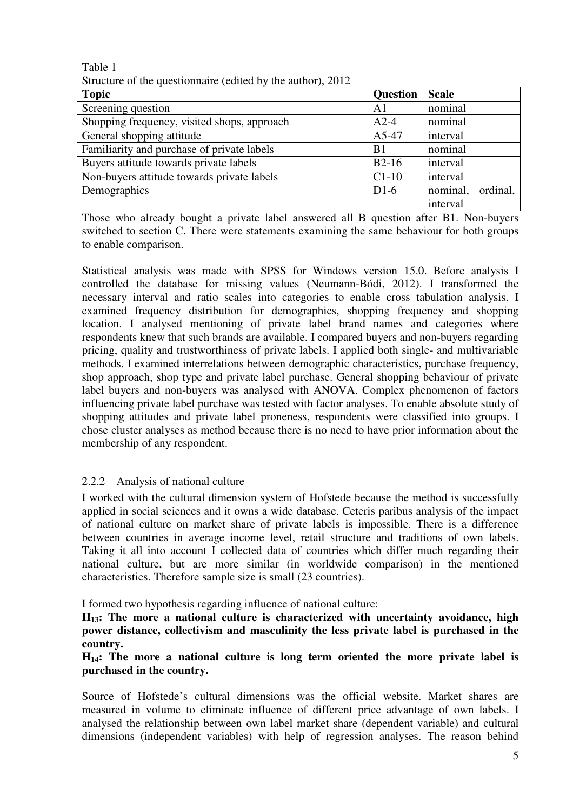Table 1

|  |  | Structure of the questionnaire (edited by the author), 2012 |
|--|--|-------------------------------------------------------------|
|  |  |                                                             |

| <b>Topic</b>                                | <b>Question</b> | <b>Scale</b>         |
|---------------------------------------------|-----------------|----------------------|
| Screening question                          | A1              | nominal              |
| Shopping frequency, visited shops, approach | $A2-4$          | nominal              |
| General shopping attitude                   | A5-47           | interval             |
| Familiarity and purchase of private labels  | B <sub>1</sub>  | nominal              |
| Buyers attitude towards private labels      | $B2-16$         | interval             |
| Non-buyers attitude towards private labels  | $C1-10$         | interval             |
| Demographics                                | $D1-6$          | nominal,<br>ordinal, |
|                                             |                 | interval             |

Those who already bought a private label answered all B question after B1. Non-buyers switched to section C. There were statements examining the same behaviour for both groups to enable comparison.

Statistical analysis was made with SPSS for Windows version 15.0. Before analysis I controlled the database for missing values (Neumann-Bódi, 2012). I transformed the necessary interval and ratio scales into categories to enable cross tabulation analysis. I examined frequency distribution for demographics, shopping frequency and shopping location. I analysed mentioning of private label brand names and categories where respondents knew that such brands are available. I compared buyers and non-buyers regarding pricing, quality and trustworthiness of private labels. I applied both single- and multivariable methods. I examined interrelations between demographic characteristics, purchase frequency, shop approach, shop type and private label purchase. General shopping behaviour of private label buyers and non-buyers was analysed with ANOVA. Complex phenomenon of factors influencing private label purchase was tested with factor analyses. To enable absolute study of shopping attitudes and private label proneness, respondents were classified into groups. I chose cluster analyses as method because there is no need to have prior information about the membership of any respondent.

# 2.2.2 Analysis of national culture

I worked with the cultural dimension system of Hofstede because the method is successfully applied in social sciences and it owns a wide database. Ceteris paribus analysis of the impact of national culture on market share of private labels is impossible. There is a difference between countries in average income level, retail structure and traditions of own labels. Taking it all into account I collected data of countries which differ much regarding their national culture, but are more similar (in worldwide comparison) in the mentioned characteristics. Therefore sample size is small (23 countries).

I formed two hypothesis regarding influence of national culture:

**H13: The more a national culture is characterized with uncertainty avoidance, high power distance, collectivism and masculinity the less private label is purchased in the country.** 

**H14: The more a national culture is long term oriented the more private label is purchased in the country.** 

Source of Hofstede's cultural dimensions was the official website. Market shares are measured in volume to eliminate influence of different price advantage of own labels. I analysed the relationship between own label market share (dependent variable) and cultural dimensions (independent variables) with help of regression analyses. The reason behind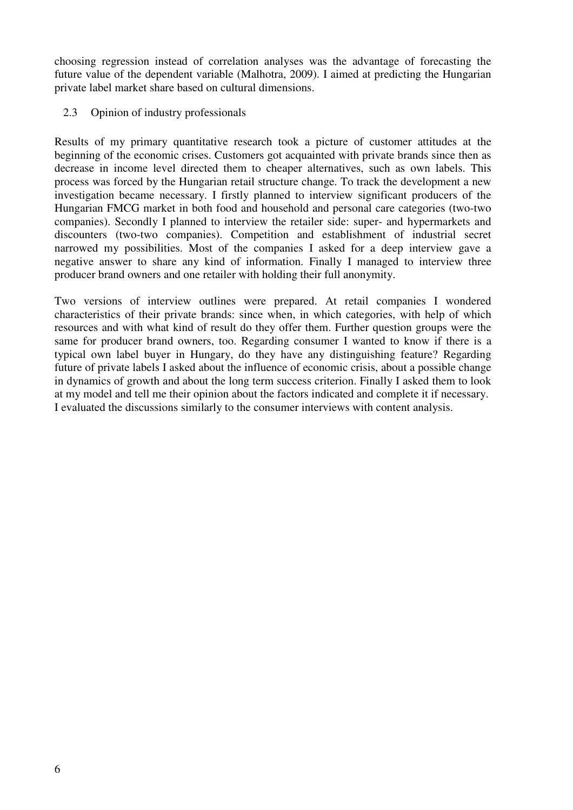choosing regression instead of correlation analyses was the advantage of forecasting the future value of the dependent variable (Malhotra, 2009). I aimed at predicting the Hungarian private label market share based on cultural dimensions.

### 2.3 Opinion of industry professionals

Results of my primary quantitative research took a picture of customer attitudes at the beginning of the economic crises. Customers got acquainted with private brands since then as decrease in income level directed them to cheaper alternatives, such as own labels. This process was forced by the Hungarian retail structure change. To track the development a new investigation became necessary. I firstly planned to interview significant producers of the Hungarian FMCG market in both food and household and personal care categories (two-two companies). Secondly I planned to interview the retailer side: super- and hypermarkets and discounters (two-two companies). Competition and establishment of industrial secret narrowed my possibilities. Most of the companies I asked for a deep interview gave a negative answer to share any kind of information. Finally I managed to interview three producer brand owners and one retailer with holding their full anonymity.

Two versions of interview outlines were prepared. At retail companies I wondered characteristics of their private brands: since when, in which categories, with help of which resources and with what kind of result do they offer them. Further question groups were the same for producer brand owners, too. Regarding consumer I wanted to know if there is a typical own label buyer in Hungary, do they have any distinguishing feature? Regarding future of private labels I asked about the influence of economic crisis, about a possible change in dynamics of growth and about the long term success criterion. Finally I asked them to look at my model and tell me their opinion about the factors indicated and complete it if necessary. I evaluated the discussions similarly to the consumer interviews with content analysis.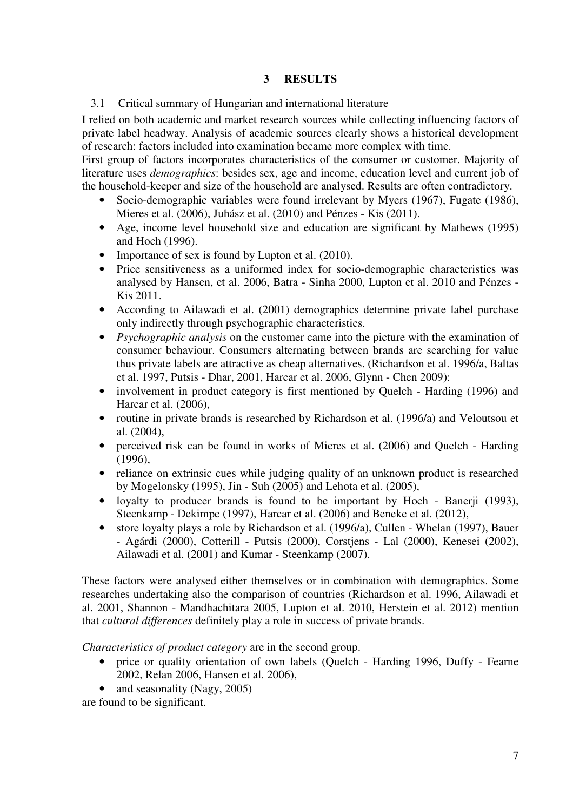# **3 RESULTS**

3.1 Critical summary of Hungarian and international literature

I relied on both academic and market research sources while collecting influencing factors of private label headway. Analysis of academic sources clearly shows a historical development of research: factors included into examination became more complex with time.

First group of factors incorporates characteristics of the consumer or customer. Majority of literature uses *demographics*: besides sex, age and income, education level and current job of the household-keeper and size of the household are analysed. Results are often contradictory.

- Socio-demographic variables were found irrelevant by Myers (1967), Fugate (1986), Mieres et al. (2006), Juhász et al. (2010) and Pénzes - Kis (2011).
- Age, income level household size and education are significant by Mathews (1995) and Hoch (1996).
- Importance of sex is found by Lupton et al. (2010).
- Price sensitiveness as a uniformed index for socio-demographic characteristics was analysed by Hansen, et al. 2006, Batra - Sinha 2000, Lupton et al. 2010 and Pénzes - Kis 2011.
- According to Ailawadi et al. (2001) demographics determine private label purchase only indirectly through psychographic characteristics.
- *Psychographic analysis* on the customer came into the picture with the examination of consumer behaviour. Consumers alternating between brands are searching for value thus private labels are attractive as cheap alternatives. (Richardson et al. 1996/a, Baltas et al. 1997, Putsis - Dhar, 2001, Harcar et al. 2006, Glynn - Chen 2009):
- involvement in product category is first mentioned by Quelch Harding (1996) and Harcar et al. (2006),
- routine in private brands is researched by Richardson et al. (1996/a) and Veloutsou et al. (2004),
- perceived risk can be found in works of Mieres et al. (2006) and Quelch Harding  $(1996)$ ,
- reliance on extrinsic cues while judging quality of an unknown product is researched by Mogelonsky (1995), Jin - Suh (2005) and Lehota et al. (2005),
- loyalty to producer brands is found to be important by Hoch Banerii (1993), Steenkamp - Dekimpe (1997), Harcar et al. (2006) and Beneke et al. (2012),
- store loyalty plays a role by Richardson et al. (1996/a), Cullen Whelan (1997), Bauer - Agárdi (2000), Cotterill - Putsis (2000), Corstjens - Lal (2000), Kenesei (2002), Ailawadi et al. (2001) and Kumar - Steenkamp (2007).

These factors were analysed either themselves or in combination with demographics. Some researches undertaking also the comparison of countries (Richardson et al. 1996, Ailawadi et al. 2001, Shannon - Mandhachitara 2005, Lupton et al. 2010, Herstein et al. 2012) mention that *cultural differences* definitely play a role in success of private brands.

*Characteristics of product category* are in the second group.

- price or quality orientation of own labels (Quelch Harding 1996, Duffy Fearne 2002, Relan 2006, Hansen et al. 2006),
- and seasonality (Nagy, 2005)

are found to be significant.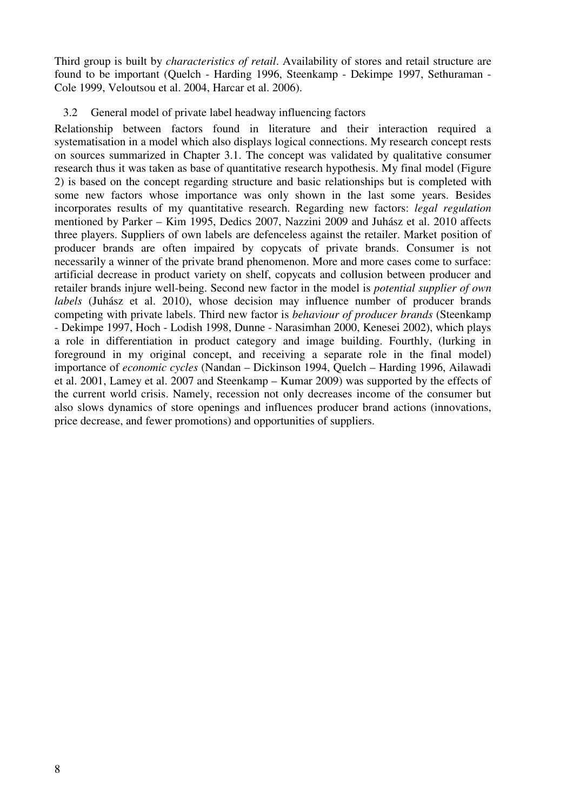Third group is built by *characteristics of retail*. Availability of stores and retail structure are found to be important (Quelch - Harding 1996, Steenkamp - Dekimpe 1997, Sethuraman - Cole 1999, Veloutsou et al. 2004, Harcar et al. 2006).

#### 3.2 General model of private label headway influencing factors

Relationship between factors found in literature and their interaction required a systematisation in a model which also displays logical connections. My research concept rests on sources summarized in Chapter 3.1. The concept was validated by qualitative consumer research thus it was taken as base of quantitative research hypothesis. My final model (Figure 2) is based on the concept regarding structure and basic relationships but is completed with some new factors whose importance was only shown in the last some years. Besides incorporates results of my quantitative research. Regarding new factors: *legal regulation* mentioned by Parker – Kim 1995, Dedics 2007, Nazzini 2009 and Juhász et al. 2010 affects three players. Suppliers of own labels are defenceless against the retailer. Market position of producer brands are often impaired by copycats of private brands. Consumer is not necessarily a winner of the private brand phenomenon. More and more cases come to surface: artificial decrease in product variety on shelf, copycats and collusion between producer and retailer brands injure well-being. Second new factor in the model is *potential supplier of own labels* (Juhász et al. 2010), whose decision may influence number of producer brands competing with private labels. Third new factor is *behaviour of producer brands* (Steenkamp - Dekimpe 1997, Hoch - Lodish 1998, Dunne - Narasimhan 2000, Kenesei 2002), which plays a role in differentiation in product category and image building. Fourthly, (lurking in foreground in my original concept, and receiving a separate role in the final model) importance of *economic cycles* (Nandan – Dickinson 1994, Quelch – Harding 1996, Ailawadi et al. 2001, Lamey et al. 2007 and Steenkamp – Kumar 2009) was supported by the effects of the current world crisis. Namely, recession not only decreases income of the consumer but also slows dynamics of store openings and influences producer brand actions (innovations, price decrease, and fewer promotions) and opportunities of suppliers.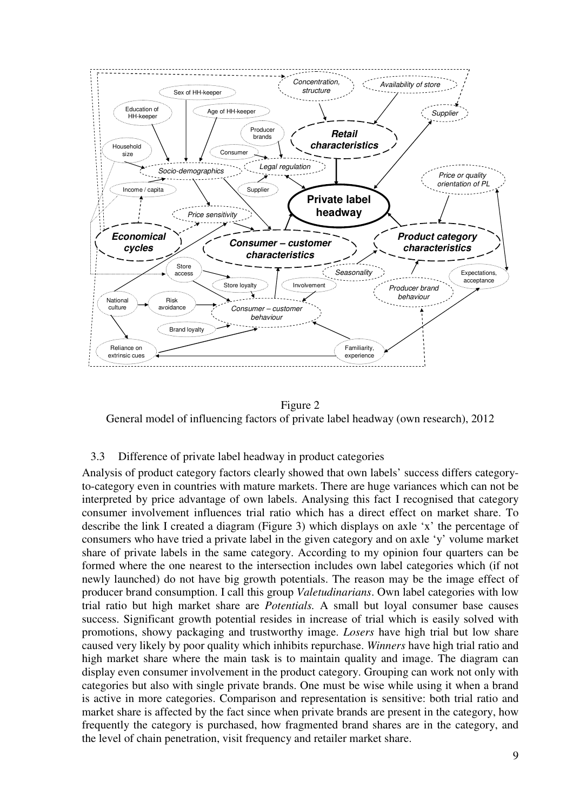

#### Figure 2

General model of influencing factors of private label headway (own research), 2012

#### 3.3 Difference of private label headway in product categories

Analysis of product category factors clearly showed that own labels' success differs categoryto-category even in countries with mature markets. There are huge variances which can not be interpreted by price advantage of own labels. Analysing this fact I recognised that category consumer involvement influences trial ratio which has a direct effect on market share. To describe the link I created a diagram (Figure 3) which displays on axle 'x' the percentage of consumers who have tried a private label in the given category and on axle 'y' volume market share of private labels in the same category. According to my opinion four quarters can be formed where the one nearest to the intersection includes own label categories which (if not newly launched) do not have big growth potentials. The reason may be the image effect of producer brand consumption. I call this group *Valetudinarians*. Own label categories with low trial ratio but high market share are *Potentials.* A small but loyal consumer base causes success. Significant growth potential resides in increase of trial which is easily solved with promotions, showy packaging and trustworthy image. *Losers* have high trial but low share caused very likely by poor quality which inhibits repurchase. *Winners* have high trial ratio and high market share where the main task is to maintain quality and image. The diagram can display even consumer involvement in the product category. Grouping can work not only with categories but also with single private brands. One must be wise while using it when a brand is active in more categories. Comparison and representation is sensitive: both trial ratio and market share is affected by the fact since when private brands are present in the category, how frequently the category is purchased, how fragmented brand shares are in the category, and the level of chain penetration, visit frequency and retailer market share.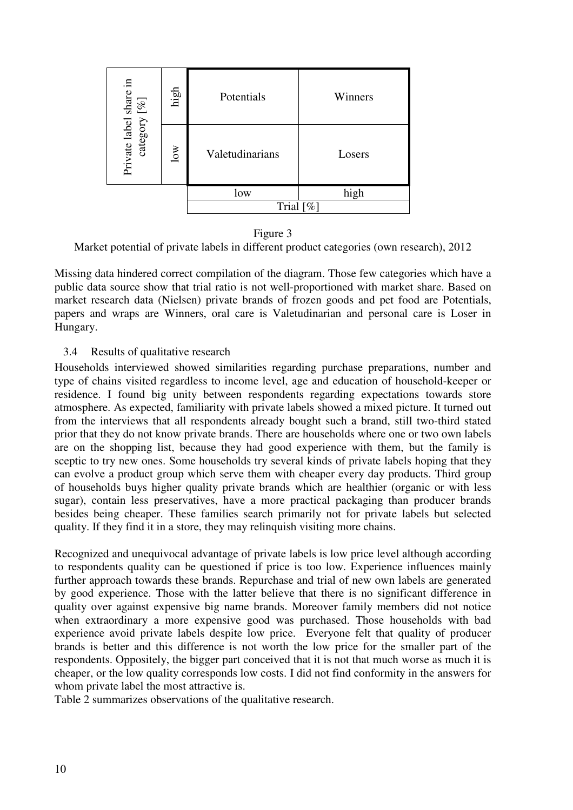| $[ \% ] % \caption{The image shows a function of the two two times, and the two times, and the two times, are in the right.} \label{fig:ex1} %$ | high                    | Potentials      | Winners |  |
|-------------------------------------------------------------------------------------------------------------------------------------------------|-------------------------|-----------------|---------|--|
| Private label share in<br>category                                                                                                              | $\overline{\text{low}}$ | Valetudinarians | Losers  |  |
|                                                                                                                                                 |                         | low             | high    |  |
|                                                                                                                                                 |                         | Trial $[\%]$    |         |  |

Figure 3

Market potential of private labels in different product categories (own research), 2012

Missing data hindered correct compilation of the diagram. Those few categories which have a public data source show that trial ratio is not well-proportioned with market share. Based on market research data (Nielsen) private brands of frozen goods and pet food are Potentials, papers and wraps are Winners, oral care is Valetudinarian and personal care is Loser in Hungary.

#### 3.4 Results of qualitative research

Households interviewed showed similarities regarding purchase preparations, number and type of chains visited regardless to income level, age and education of household-keeper or residence. I found big unity between respondents regarding expectations towards store atmosphere. As expected, familiarity with private labels showed a mixed picture. It turned out from the interviews that all respondents already bought such a brand, still two-third stated prior that they do not know private brands. There are households where one or two own labels are on the shopping list, because they had good experience with them, but the family is sceptic to try new ones. Some households try several kinds of private labels hoping that they can evolve a product group which serve them with cheaper every day products. Third group of households buys higher quality private brands which are healthier (organic or with less sugar), contain less preservatives, have a more practical packaging than producer brands besides being cheaper. These families search primarily not for private labels but selected quality. If they find it in a store, they may relinquish visiting more chains.

Recognized and unequivocal advantage of private labels is low price level although according to respondents quality can be questioned if price is too low. Experience influences mainly further approach towards these brands. Repurchase and trial of new own labels are generated by good experience. Those with the latter believe that there is no significant difference in quality over against expensive big name brands. Moreover family members did not notice when extraordinary a more expensive good was purchased. Those households with bad experience avoid private labels despite low price. Everyone felt that quality of producer brands is better and this difference is not worth the low price for the smaller part of the respondents. Oppositely, the bigger part conceived that it is not that much worse as much it is cheaper, or the low quality corresponds low costs. I did not find conformity in the answers for whom private label the most attractive is.

Table 2 summarizes observations of the qualitative research.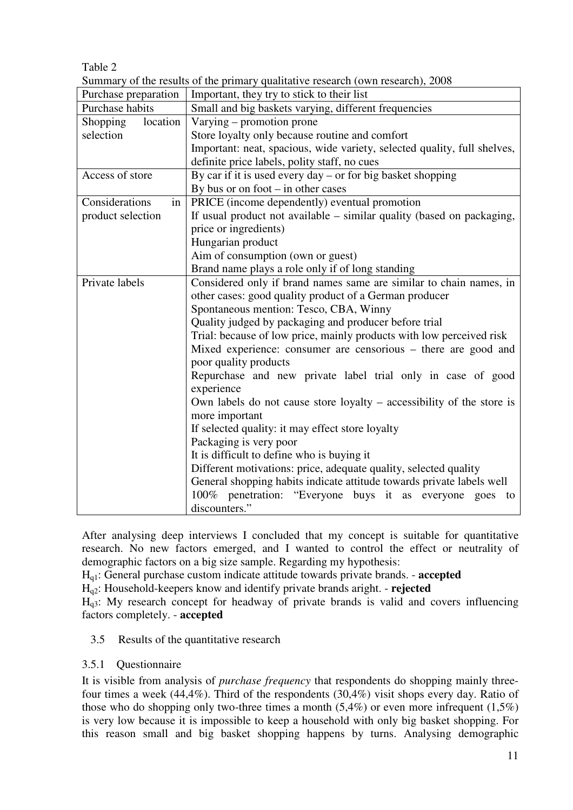# Table 2

Summary of the results of the primary qualitative research (own research), 2008

|                                                                  | $\beta$ of the results of the primary quantum ensured (own research), 2000 |  |  |  |
|------------------------------------------------------------------|----------------------------------------------------------------------------|--|--|--|
| Purchase preparation                                             | Important, they try to stick to their list                                 |  |  |  |
| Purchase habits                                                  | Small and big baskets varying, different frequencies                       |  |  |  |
| location<br><b>Shopping</b>                                      | Varying – promotion prone                                                  |  |  |  |
| selection                                                        | Store loyalty only because routine and comfort                             |  |  |  |
|                                                                  | Important: neat, spacious, wide variety, selected quality, full shelves,   |  |  |  |
|                                                                  | definite price labels, polity staff, no cues                               |  |  |  |
| Access of store                                                  | By car if it is used every day $-$ or for big basket shopping              |  |  |  |
|                                                                  | By bus or on foot $-$ in other cases                                       |  |  |  |
| Considerations<br>in                                             | PRICE (income dependently) eventual promotion                              |  |  |  |
| product selection                                                | If usual product not available – similar quality (based on packaging,      |  |  |  |
|                                                                  | price or ingredients)                                                      |  |  |  |
|                                                                  | Hungarian product                                                          |  |  |  |
|                                                                  | Aim of consumption (own or guest)                                          |  |  |  |
|                                                                  | Brand name plays a role only if of long standing                           |  |  |  |
| Private labels                                                   | Considered only if brand names same are similar to chain names, in         |  |  |  |
|                                                                  | other cases: good quality product of a German producer                     |  |  |  |
|                                                                  | Spontaneous mention: Tesco, CBA, Winny                                     |  |  |  |
|                                                                  | Quality judged by packaging and producer before trial                      |  |  |  |
|                                                                  | Trial: because of low price, mainly products with low perceived risk       |  |  |  |
|                                                                  | Mixed experience: consumer are censorious – there are good and             |  |  |  |
|                                                                  | poor quality products                                                      |  |  |  |
|                                                                  | Repurchase and new private label trial only in case of good                |  |  |  |
|                                                                  | experience                                                                 |  |  |  |
|                                                                  | Own labels do not cause store loyalty $-$ accessibility of the store is    |  |  |  |
|                                                                  | more important                                                             |  |  |  |
|                                                                  | If selected quality: it may effect store loyalty                           |  |  |  |
|                                                                  | Packaging is very poor                                                     |  |  |  |
|                                                                  | It is difficult to define who is buying it                                 |  |  |  |
| Different motivations: price, adequate quality, selected quality |                                                                            |  |  |  |
|                                                                  | General shopping habits indicate attitude towards private labels well      |  |  |  |
|                                                                  | penetration: "Everyone buys it as everyone<br>100%<br>goes<br>to           |  |  |  |
|                                                                  | discounters."                                                              |  |  |  |

After analysing deep interviews I concluded that my concept is suitable for quantitative research. No new factors emerged, and I wanted to control the effect or neutrality of demographic factors on a big size sample. Regarding my hypothesis:

Hq1: General purchase custom indicate attitude towards private brands. - **accepted**

Hq2: Household-keepers know and identify private brands aright. - **rejected**

 $H<sub>q3</sub>$ : My research concept for headway of private brands is valid and covers influencing factors completely. - **accepted**

# 3.5 Results of the quantitative research

# 3.5.1 Questionnaire

It is visible from analysis of *purchase frequency* that respondents do shopping mainly threefour times a week (44,4%). Third of the respondents (30,4%) visit shops every day. Ratio of those who do shopping only two-three times a month  $(5,4\%)$  or even more infrequent  $(1,5\%)$ is very low because it is impossible to keep a household with only big basket shopping. For this reason small and big basket shopping happens by turns. Analysing demographic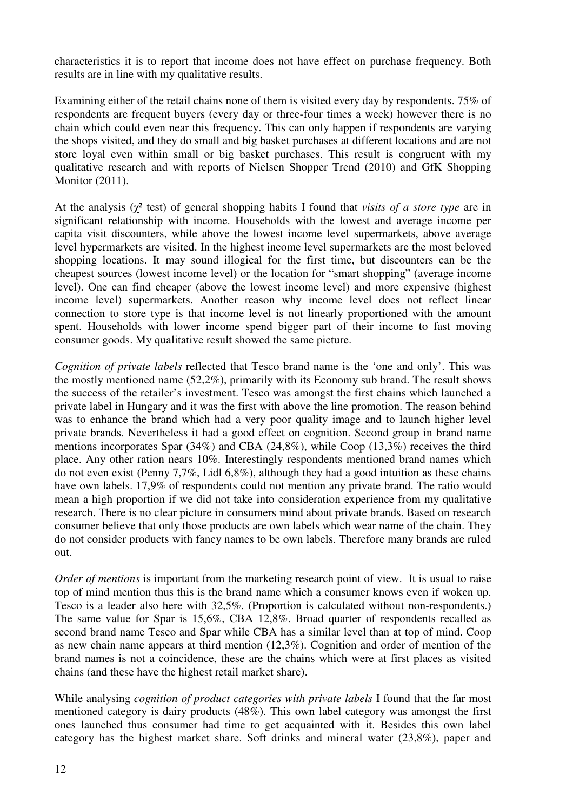characteristics it is to report that income does not have effect on purchase frequency. Both results are in line with my qualitative results.

Examining either of the retail chains none of them is visited every day by respondents. 75% of respondents are frequent buyers (every day or three-four times a week) however there is no chain which could even near this frequency. This can only happen if respondents are varying the shops visited, and they do small and big basket purchases at different locations and are not store loyal even within small or big basket purchases. This result is congruent with my qualitative research and with reports of Nielsen Shopper Trend (2010) and GfK Shopping Monitor (2011).

At the analysis (χ² test) of general shopping habits I found that *visits of a store type* are in significant relationship with income. Households with the lowest and average income per capita visit discounters, while above the lowest income level supermarkets, above average level hypermarkets are visited. In the highest income level supermarkets are the most beloved shopping locations. It may sound illogical for the first time, but discounters can be the cheapest sources (lowest income level) or the location for "smart shopping" (average income level). One can find cheaper (above the lowest income level) and more expensive (highest income level) supermarkets. Another reason why income level does not reflect linear connection to store type is that income level is not linearly proportioned with the amount spent. Households with lower income spend bigger part of their income to fast moving consumer goods. My qualitative result showed the same picture.

*Cognition of private labels* reflected that Tesco brand name is the 'one and only'. This was the mostly mentioned name (52,2%), primarily with its Economy sub brand. The result shows the success of the retailer's investment. Tesco was amongst the first chains which launched a private label in Hungary and it was the first with above the line promotion. The reason behind was to enhance the brand which had a very poor quality image and to launch higher level private brands. Nevertheless it had a good effect on cognition. Second group in brand name mentions incorporates Spar (34%) and CBA (24,8%), while Coop (13,3%) receives the third place. Any other ration nears 10%. Interestingly respondents mentioned brand names which do not even exist (Penny 7,7%, Lidl 6,8%), although they had a good intuition as these chains have own labels. 17,9% of respondents could not mention any private brand. The ratio would mean a high proportion if we did not take into consideration experience from my qualitative research. There is no clear picture in consumers mind about private brands. Based on research consumer believe that only those products are own labels which wear name of the chain. They do not consider products with fancy names to be own labels. Therefore many brands are ruled out.

*Order of mentions* is important from the marketing research point of view. It is usual to raise top of mind mention thus this is the brand name which a consumer knows even if woken up. Tesco is a leader also here with 32,5%. (Proportion is calculated without non-respondents.) The same value for Spar is 15,6%, CBA 12,8%. Broad quarter of respondents recalled as second brand name Tesco and Spar while CBA has a similar level than at top of mind. Coop as new chain name appears at third mention (12,3%). Cognition and order of mention of the brand names is not a coincidence, these are the chains which were at first places as visited chains (and these have the highest retail market share).

While analysing *cognition of product categories with private labels* I found that the far most mentioned category is dairy products (48%). This own label category was amongst the first ones launched thus consumer had time to get acquainted with it. Besides this own label category has the highest market share. Soft drinks and mineral water (23,8%), paper and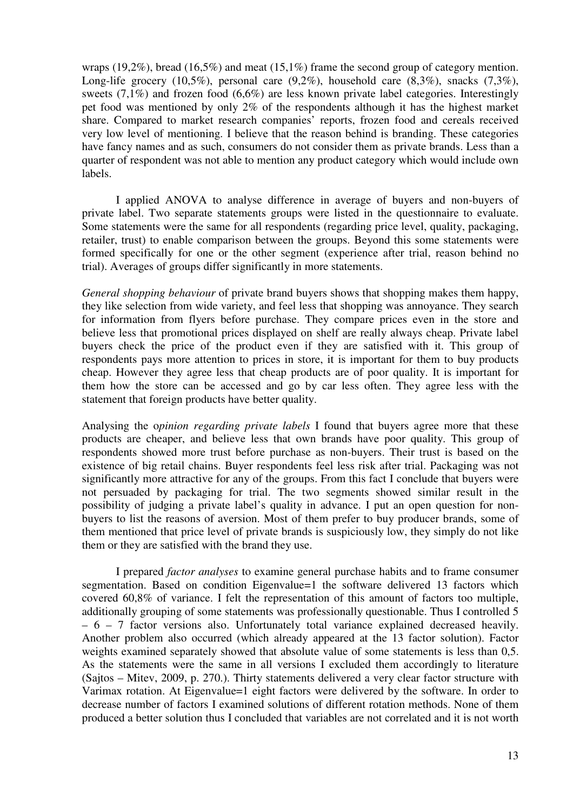wraps (19,2%), bread (16,5%) and meat (15,1%) frame the second group of category mention. Long-life grocery  $(10.5\%)$ , personal care  $(9.2\%)$ , household care  $(8.3\%)$ , snacks  $(7.3\%)$ , sweets (7,1%) and frozen food (6,6%) are less known private label categories. Interestingly pet food was mentioned by only 2% of the respondents although it has the highest market share. Compared to market research companies' reports, frozen food and cereals received very low level of mentioning. I believe that the reason behind is branding. These categories have fancy names and as such, consumers do not consider them as private brands. Less than a quarter of respondent was not able to mention any product category which would include own labels.

I applied ANOVA to analyse difference in average of buyers and non-buyers of private label. Two separate statements groups were listed in the questionnaire to evaluate. Some statements were the same for all respondents (regarding price level, quality, packaging, retailer, trust) to enable comparison between the groups. Beyond this some statements were formed specifically for one or the other segment (experience after trial, reason behind no trial). Averages of groups differ significantly in more statements.

*General shopping behaviour* of private brand buyers shows that shopping makes them happy, they like selection from wide variety, and feel less that shopping was annoyance. They search for information from flyers before purchase. They compare prices even in the store and believe less that promotional prices displayed on shelf are really always cheap. Private label buyers check the price of the product even if they are satisfied with it. This group of respondents pays more attention to prices in store, it is important for them to buy products cheap. However they agree less that cheap products are of poor quality. It is important for them how the store can be accessed and go by car less often. They agree less with the statement that foreign products have better quality.

Analysing the o*pinion regarding private labels* I found that buyers agree more that these products are cheaper, and believe less that own brands have poor quality. This group of respondents showed more trust before purchase as non-buyers. Their trust is based on the existence of big retail chains. Buyer respondents feel less risk after trial. Packaging was not significantly more attractive for any of the groups. From this fact I conclude that buyers were not persuaded by packaging for trial. The two segments showed similar result in the possibility of judging a private label's quality in advance. I put an open question for nonbuyers to list the reasons of aversion. Most of them prefer to buy producer brands, some of them mentioned that price level of private brands is suspiciously low, they simply do not like them or they are satisfied with the brand they use.

I prepared *factor analyses* to examine general purchase habits and to frame consumer segmentation. Based on condition Eigenvalue=1 the software delivered 13 factors which covered 60,8% of variance. I felt the representation of this amount of factors too multiple, additionally grouping of some statements was professionally questionable. Thus I controlled 5 – 6 – 7 factor versions also. Unfortunately total variance explained decreased heavily. Another problem also occurred (which already appeared at the 13 factor solution). Factor weights examined separately showed that absolute value of some statements is less than 0,5. As the statements were the same in all versions I excluded them accordingly to literature (Sajtos – Mitev, 2009, p. 270.). Thirty statements delivered a very clear factor structure with Varimax rotation. At Eigenvalue=1 eight factors were delivered by the software. In order to decrease number of factors I examined solutions of different rotation methods. None of them produced a better solution thus I concluded that variables are not correlated and it is not worth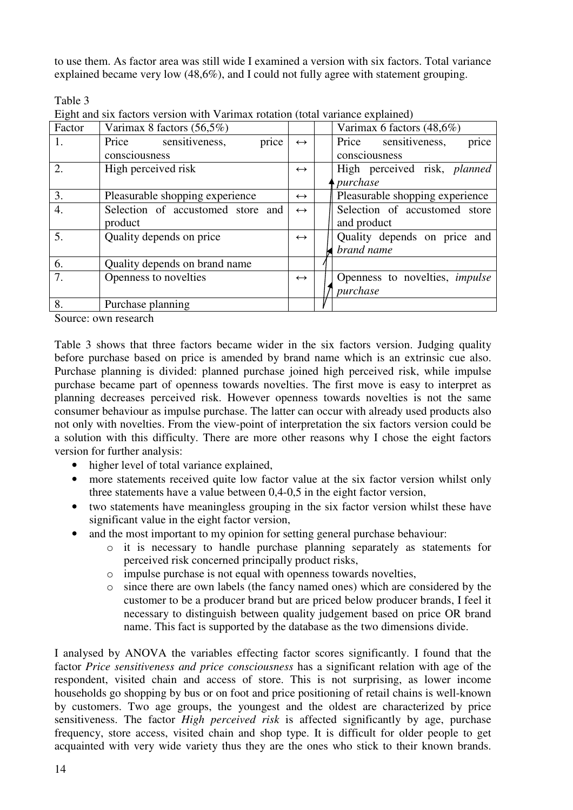to use them. As factor area was still wide I examined a version with six factors. Total variance explained became very low (48,6%), and I could not fully agree with statement grouping.

 $T_0$ <sub>b</sub>l<sub>o</sub> 2

| $1$ and $\sigma$ . |                                                                                |                   |                                       |
|--------------------|--------------------------------------------------------------------------------|-------------------|---------------------------------------|
|                    | Eight and six factors version with Varimax rotation (total variance explained) |                   |                                       |
| Factor             | Varimax 8 factors $(56,5\%)$                                                   |                   | Varimax 6 factors $(48,6\%)$          |
| 1.                 | Price sensitiveness,<br>price                                                  | $\leftrightarrow$ | price<br>Price sensitiveness,         |
|                    | consciousness                                                                  |                   | consciousness                         |
| $\overline{2}$ .   | High perceived risk                                                            | $\leftrightarrow$ | High perceived risk, planned          |
|                    |                                                                                |                   | <i>purchase</i>                       |
| 3.                 | Pleasurable shopping experience                                                | $\leftrightarrow$ | Pleasurable shopping experience       |
| $\overline{4}$ .   | Selection of accustomed store and                                              | $\leftrightarrow$ | Selection of accustomed store         |
|                    | product                                                                        |                   | and product                           |
| $\overline{5}$ .   | Quality depends on price                                                       | $\leftrightarrow$ | Quality depends on price and          |
|                    |                                                                                |                   | brand name                            |
| 6.                 | Quality depends on brand name                                                  |                   |                                       |
| 7.                 | Openness to novelties                                                          | $\leftrightarrow$ | Openness to novelties, <i>impulse</i> |
|                    |                                                                                |                   | purchase                              |
| 8.                 | Purchase planning                                                              |                   |                                       |

Source: own research

Table 3 shows that three factors became wider in the six factors version. Judging quality before purchase based on price is amended by brand name which is an extrinsic cue also. Purchase planning is divided: planned purchase joined high perceived risk, while impulse purchase became part of openness towards novelties. The first move is easy to interpret as planning decreases perceived risk. However openness towards novelties is not the same consumer behaviour as impulse purchase. The latter can occur with already used products also not only with novelties. From the view-point of interpretation the six factors version could be a solution with this difficulty. There are more other reasons why I chose the eight factors version for further analysis:

- higher level of total variance explained,
- more statements received quite low factor value at the six factor version whilst only three statements have a value between 0,4-0,5 in the eight factor version,
- two statements have meaningless grouping in the six factor version whilst these have significant value in the eight factor version,
- and the most important to my opinion for setting general purchase behaviour:
	- o it is necessary to handle purchase planning separately as statements for perceived risk concerned principally product risks,
	- o impulse purchase is not equal with openness towards novelties,
	- o since there are own labels (the fancy named ones) which are considered by the customer to be a producer brand but are priced below producer brands, I feel it necessary to distinguish between quality judgement based on price OR brand name. This fact is supported by the database as the two dimensions divide.

I analysed by ANOVA the variables effecting factor scores significantly. I found that the factor *Price sensitiveness and price consciousness* has a significant relation with age of the respondent, visited chain and access of store. This is not surprising, as lower income households go shopping by bus or on foot and price positioning of retail chains is well-known by customers. Two age groups, the youngest and the oldest are characterized by price sensitiveness. The factor *High perceived risk* is affected significantly by age, purchase frequency, store access, visited chain and shop type. It is difficult for older people to get acquainted with very wide variety thus they are the ones who stick to their known brands.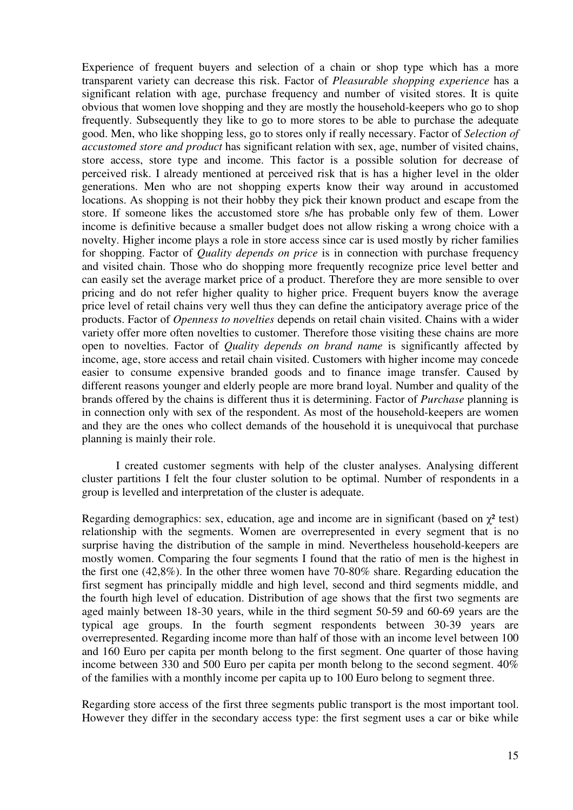Experience of frequent buyers and selection of a chain or shop type which has a more transparent variety can decrease this risk. Factor of *Pleasurable shopping experience* has a significant relation with age, purchase frequency and number of visited stores. It is quite obvious that women love shopping and they are mostly the household-keepers who go to shop frequently. Subsequently they like to go to more stores to be able to purchase the adequate good. Men, who like shopping less, go to stores only if really necessary. Factor of *Selection of accustomed store and product* has significant relation with sex, age, number of visited chains, store access, store type and income. This factor is a possible solution for decrease of perceived risk. I already mentioned at perceived risk that is has a higher level in the older generations. Men who are not shopping experts know their way around in accustomed locations. As shopping is not their hobby they pick their known product and escape from the store. If someone likes the accustomed store s/he has probable only few of them. Lower income is definitive because a smaller budget does not allow risking a wrong choice with a novelty. Higher income plays a role in store access since car is used mostly by richer families for shopping. Factor of *Quality depends on price* is in connection with purchase frequency and visited chain. Those who do shopping more frequently recognize price level better and can easily set the average market price of a product. Therefore they are more sensible to over pricing and do not refer higher quality to higher price. Frequent buyers know the average price level of retail chains very well thus they can define the anticipatory average price of the products. Factor of *Openness to novelties* depends on retail chain visited. Chains with a wider variety offer more often novelties to customer. Therefore those visiting these chains are more open to novelties. Factor of *Quality depends on brand name* is significantly affected by income, age, store access and retail chain visited. Customers with higher income may concede easier to consume expensive branded goods and to finance image transfer. Caused by different reasons younger and elderly people are more brand loyal. Number and quality of the brands offered by the chains is different thus it is determining. Factor of *Purchase* planning is in connection only with sex of the respondent. As most of the household-keepers are women and they are the ones who collect demands of the household it is unequivocal that purchase planning is mainly their role.

I created customer segments with help of the cluster analyses. Analysing different cluster partitions I felt the four cluster solution to be optimal. Number of respondents in a group is levelled and interpretation of the cluster is adequate.

Regarding demographics: sex, education, age and income are in significant (based on  $\chi^2$  test) relationship with the segments. Women are overrepresented in every segment that is no surprise having the distribution of the sample in mind. Nevertheless household-keepers are mostly women. Comparing the four segments I found that the ratio of men is the highest in the first one (42,8%). In the other three women have 70-80% share. Regarding education the first segment has principally middle and high level, second and third segments middle, and the fourth high level of education. Distribution of age shows that the first two segments are aged mainly between 18-30 years, while in the third segment 50-59 and 60-69 years are the typical age groups. In the fourth segment respondents between 30-39 years are overrepresented. Regarding income more than half of those with an income level between 100 and 160 Euro per capita per month belong to the first segment. One quarter of those having income between 330 and 500 Euro per capita per month belong to the second segment. 40% of the families with a monthly income per capita up to 100 Euro belong to segment three.

Regarding store access of the first three segments public transport is the most important tool. However they differ in the secondary access type: the first segment uses a car or bike while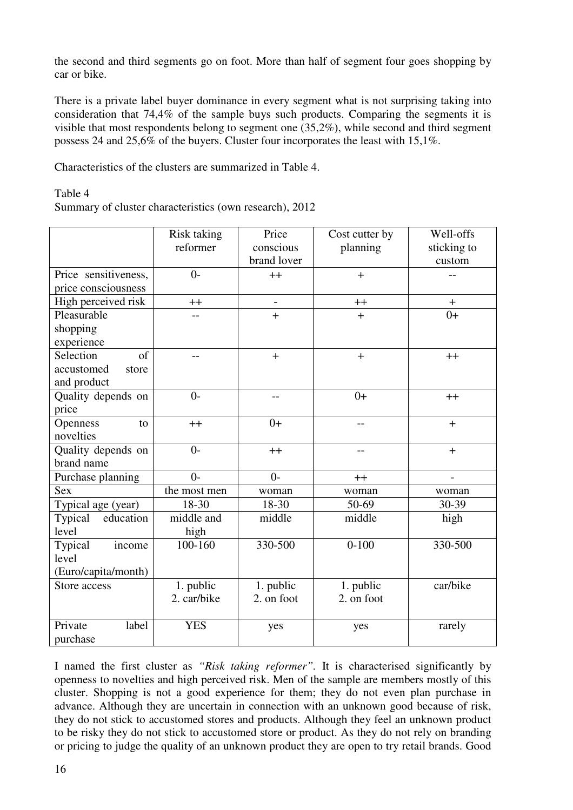the second and third segments go on foot. More than half of segment four goes shopping by car or bike.

There is a private label buyer dominance in every segment what is not surprising taking into consideration that 74,4% of the sample buys such products. Comparing the segments it is visible that most respondents belong to segment one (35,2%), while second and third segment possess 24 and 25,6% of the buyers. Cluster four incorporates the least with 15,1%.

Characteristics of the clusters are summarized in Table 4.

Table 4

Summary of cluster characteristics (own research), 2012

|                      | <b>Risk taking</b> | Price       | Cost cutter by | Well-offs   |
|----------------------|--------------------|-------------|----------------|-------------|
|                      | reformer           | conscious   | planning       | sticking to |
|                      |                    | brand lover |                | custom      |
| Price sensitiveness, | $0 -$              | $++$        | $+$            |             |
| price consciousness  |                    |             |                |             |
| High perceived risk  | $++$               |             | $^{++}$        | $\pm$       |
| Pleasurable          |                    | $+$         | $+$            | $0+$        |
| shopping             |                    |             |                |             |
| experience           |                    |             |                |             |
| Selection<br>of      | $-$                | $+$         | $+$            | $++$        |
| accustomed<br>store  |                    |             |                |             |
| and product          |                    |             |                |             |
| Quality depends on   | $0-$               | $-$         | $0+$           | $++$        |
| price                |                    |             |                |             |
| Openness<br>to       | $++$               | $0+$        |                | $+$         |
| novelties            |                    |             |                |             |
| Quality depends on   | $0-$               | $++$        | $-1$           | $+$         |
| brand name           |                    |             |                |             |
| Purchase planning    | $0 -$              | $0-$        | $++$           |             |
| <b>Sex</b>           | the most men       | woman       | woman          | woman       |
| Typical age (year)   | 18-30              | 18-30       | 50-69          | 30-39       |
| Typical<br>education | middle and         | middle      | middle         | high        |
| level                | high               |             |                |             |
| Typical<br>income    | 100-160            | 330-500     | $0 - 100$      | 330-500     |
| level                |                    |             |                |             |
| (Euro/capita/month)  |                    |             |                |             |
| Store access         | 1. public          | 1. public   | 1. public      | car/bike    |
|                      | 2. car/bike        | 2. on foot  | 2. on foot     |             |
|                      |                    |             |                |             |
| Private<br>label     | <b>YES</b>         | yes         | yes            | rarely      |
| purchase             |                    |             |                |             |

I named the first cluster as *"Risk taking reformer".* It is characterised significantly by openness to novelties and high perceived risk. Men of the sample are members mostly of this cluster. Shopping is not a good experience for them; they do not even plan purchase in advance. Although they are uncertain in connection with an unknown good because of risk, they do not stick to accustomed stores and products. Although they feel an unknown product to be risky they do not stick to accustomed store or product. As they do not rely on branding or pricing to judge the quality of an unknown product they are open to try retail brands. Good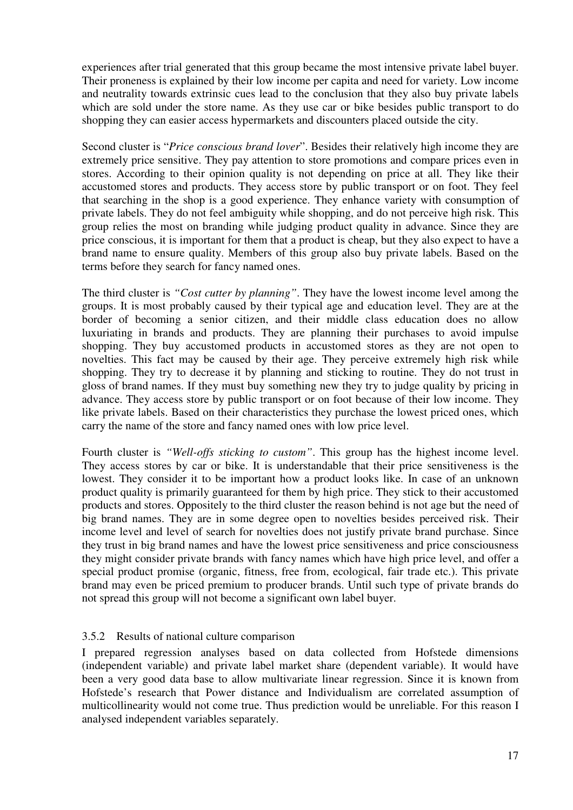experiences after trial generated that this group became the most intensive private label buyer. Their proneness is explained by their low income per capita and need for variety. Low income and neutrality towards extrinsic cues lead to the conclusion that they also buy private labels which are sold under the store name. As they use car or bike besides public transport to do shopping they can easier access hypermarkets and discounters placed outside the city.

Second cluster is "*Price conscious brand lover*". Besides their relatively high income they are extremely price sensitive. They pay attention to store promotions and compare prices even in stores. According to their opinion quality is not depending on price at all. They like their accustomed stores and products. They access store by public transport or on foot. They feel that searching in the shop is a good experience. They enhance variety with consumption of private labels. They do not feel ambiguity while shopping, and do not perceive high risk. This group relies the most on branding while judging product quality in advance. Since they are price conscious, it is important for them that a product is cheap, but they also expect to have a brand name to ensure quality. Members of this group also buy private labels. Based on the terms before they search for fancy named ones.

The third cluster is *"Cost cutter by planning"*. They have the lowest income level among the groups. It is most probably caused by their typical age and education level. They are at the border of becoming a senior citizen, and their middle class education does no allow luxuriating in brands and products. They are planning their purchases to avoid impulse shopping. They buy accustomed products in accustomed stores as they are not open to novelties. This fact may be caused by their age. They perceive extremely high risk while shopping. They try to decrease it by planning and sticking to routine. They do not trust in gloss of brand names. If they must buy something new they try to judge quality by pricing in advance. They access store by public transport or on foot because of their low income. They like private labels. Based on their characteristics they purchase the lowest priced ones, which carry the name of the store and fancy named ones with low price level.

Fourth cluster is *"Well-offs sticking to custom"*. This group has the highest income level. They access stores by car or bike. It is understandable that their price sensitiveness is the lowest. They consider it to be important how a product looks like. In case of an unknown product quality is primarily guaranteed for them by high price. They stick to their accustomed products and stores. Oppositely to the third cluster the reason behind is not age but the need of big brand names. They are in some degree open to novelties besides perceived risk. Their income level and level of search for novelties does not justify private brand purchase. Since they trust in big brand names and have the lowest price sensitiveness and price consciousness they might consider private brands with fancy names which have high price level, and offer a special product promise (organic, fitness, free from, ecological, fair trade etc.). This private brand may even be priced premium to producer brands. Until such type of private brands do not spread this group will not become a significant own label buyer.

# 3.5.2 Results of national culture comparison

I prepared regression analyses based on data collected from Hofstede dimensions (independent variable) and private label market share (dependent variable). It would have been a very good data base to allow multivariate linear regression. Since it is known from Hofstede's research that Power distance and Individualism are correlated assumption of multicollinearity would not come true. Thus prediction would be unreliable. For this reason I analysed independent variables separately.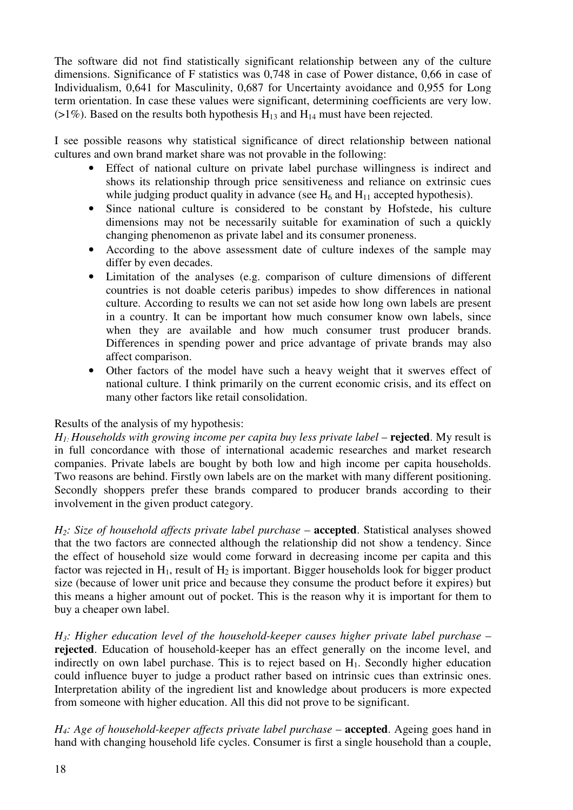The software did not find statistically significant relationship between any of the culture dimensions. Significance of F statistics was 0,748 in case of Power distance, 0,66 in case of Individualism, 0,641 for Masculinity, 0,687 for Uncertainty avoidance and 0,955 for Long term orientation. In case these values were significant, determining coefficients are very low. ( $>1\%$ ). Based on the results both hypothesis H<sub>13</sub> and H<sub>14</sub> must have been rejected.

I see possible reasons why statistical significance of direct relationship between national cultures and own brand market share was not provable in the following:

- Effect of national culture on private label purchase willingness is indirect and shows its relationship through price sensitiveness and reliance on extrinsic cues while judging product quality in advance (see  $H_6$  and  $H_{11}$  accepted hypothesis).
- Since national culture is considered to be constant by Hofstede, his culture dimensions may not be necessarily suitable for examination of such a quickly changing phenomenon as private label and its consumer proneness.
- According to the above assessment date of culture indexes of the sample may differ by even decades.
- Limitation of the analyses (e.g. comparison of culture dimensions of different countries is not doable ceteris paribus) impedes to show differences in national culture. According to results we can not set aside how long own labels are present in a country. It can be important how much consumer know own labels, since when they are available and how much consumer trust producer brands. Differences in spending power and price advantage of private brands may also affect comparison.
- Other factors of the model have such a heavy weight that it swerves effect of national culture. I think primarily on the current economic crisis, and its effect on many other factors like retail consolidation.

# Results of the analysis of my hypothesis:

 $H_1$ *· Households with growing income per capita buy less private label – rejected. My result is* in full concordance with those of international academic researches and market research companies. Private labels are bought by both low and high income per capita households. Two reasons are behind. Firstly own labels are on the market with many different positioning. Secondly shoppers prefer these brands compared to producer brands according to their involvement in the given product category.

*H*<sub>2</sub>*: Size of household affects private label purchase – accepted. Statistical analyses showed* that the two factors are connected although the relationship did not show a tendency. Since the effect of household size would come forward in decreasing income per capita and this factor was rejected in  $H_1$ , result of  $H_2$  is important. Bigger households look for bigger product size (because of lower unit price and because they consume the product before it expires) but this means a higher amount out of pocket. This is the reason why it is important for them to buy a cheaper own label.

*H3: Higher education level of the household-keeper causes higher private label purchase* – **rejected**. Education of household-keeper has an effect generally on the income level, and indirectly on own label purchase. This is to reject based on  $H_1$ . Secondly higher education could influence buyer to judge a product rather based on intrinsic cues than extrinsic ones. Interpretation ability of the ingredient list and knowledge about producers is more expected from someone with higher education. All this did not prove to be significant.

*H*<sub>4</sub>*: Age of household-keeper affects private label purchase – accepted. Ageing goes hand in* hand with changing household life cycles. Consumer is first a single household than a couple,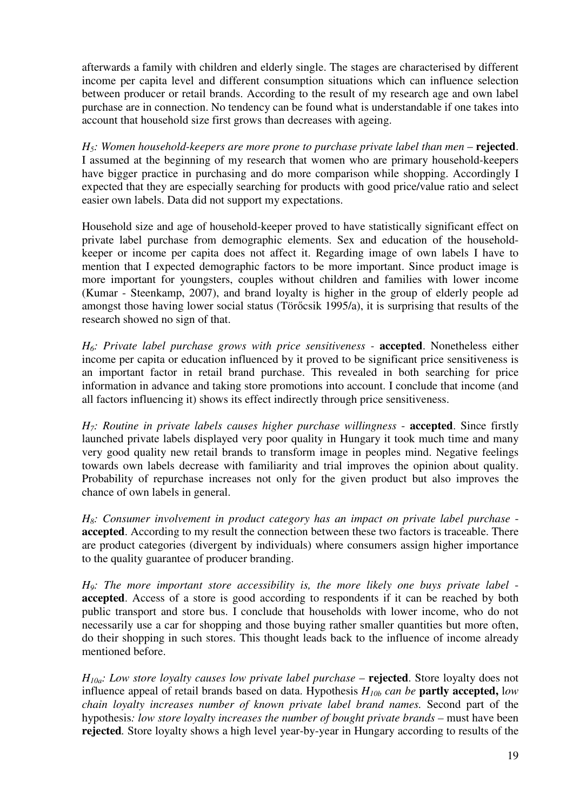afterwards a family with children and elderly single. The stages are characterised by different income per capita level and different consumption situations which can influence selection between producer or retail brands. According to the result of my research age and own label purchase are in connection. No tendency can be found what is understandable if one takes into account that household size first grows than decreases with ageing.

*H*<sub>5</sub>*: Women household-keepers are more prone to purchase private label than men – rejected.* I assumed at the beginning of my research that women who are primary household-keepers have bigger practice in purchasing and do more comparison while shopping. Accordingly I expected that they are especially searching for products with good price/value ratio and select easier own labels. Data did not support my expectations.

Household size and age of household-keeper proved to have statistically significant effect on private label purchase from demographic elements. Sex and education of the householdkeeper or income per capita does not affect it. Regarding image of own labels I have to mention that I expected demographic factors to be more important. Since product image is more important for youngsters, couples without children and families with lower income (Kumar - Steenkamp, 2007), and brand loyalty is higher in the group of elderly people ad amongst those having lower social status (Törőcsik 1995/a), it is surprising that results of the research showed no sign of that.

*H6: Private label purchase grows with price sensitiveness -* **accepted**. Nonetheless either income per capita or education influenced by it proved to be significant price sensitiveness is an important factor in retail brand purchase. This revealed in both searching for price information in advance and taking store promotions into account. I conclude that income (and all factors influencing it) shows its effect indirectly through price sensitiveness.

*H7: Routine in private labels causes higher purchase willingness* - **accepted**. Since firstly launched private labels displayed very poor quality in Hungary it took much time and many very good quality new retail brands to transform image in peoples mind. Negative feelings towards own labels decrease with familiarity and trial improves the opinion about quality. Probability of repurchase increases not only for the given product but also improves the chance of own labels in general.

*H8: Consumer involvement in product category has an impact on private label purchase*  **accepted**. According to my result the connection between these two factors is traceable. There are product categories (divergent by individuals) where consumers assign higher importance to the quality guarantee of producer branding.

*H9: The more important store accessibility is, the more likely one buys private label*  **accepted**. Access of a store is good according to respondents if it can be reached by both public transport and store bus. I conclude that households with lower income, who do not necessarily use a car for shopping and those buying rather smaller quantities but more often, do their shopping in such stores. This thought leads back to the influence of income already mentioned before.

 $H_{10a}$ *: Low store loyalty causes low private label purchase – rejected. Store loyalty does not* influence appeal of retail brands based on data. Hypothesis  $H_{10b}$  *can be* **partly accepted**, low *chain loyalty increases number of known private label brand names.* Second part of the hypothesis: low store loyalty increases the number of bought private brands – must have been **rejected***.* Store loyalty shows a high level year-by-year in Hungary according to results of the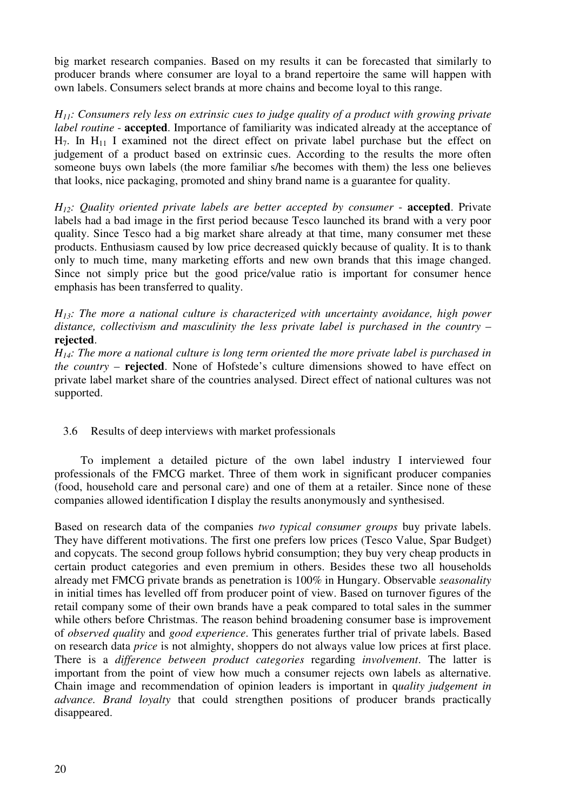big market research companies. Based on my results it can be forecasted that similarly to producer brands where consumer are loyal to a brand repertoire the same will happen with own labels. Consumers select brands at more chains and become loyal to this range.

*H11: Consumers rely less on extrinsic cues to judge quality of a product with growing private label routine* - **accepted**. Importance of familiarity was indicated already at the acceptance of  $H_7$ . In  $H_{11}$  I examined not the direct effect on private label purchase but the effect on judgement of a product based on extrinsic cues. According to the results the more often someone buys own labels (the more familiar s/he becomes with them) the less one believes that looks, nice packaging, promoted and shiny brand name is a guarantee for quality.

*H12: Quality oriented private labels are better accepted by consumer* - **accepted**. Private labels had a bad image in the first period because Tesco launched its brand with a very poor quality. Since Tesco had a big market share already at that time, many consumer met these products. Enthusiasm caused by low price decreased quickly because of quality. It is to thank only to much time, many marketing efforts and new own brands that this image changed. Since not simply price but the good price/value ratio is important for consumer hence emphasis has been transferred to quality.

*H13: The more a national culture is characterized with uncertainty avoidance, high power*  distance, collectivism and masculinity the less private label is purchased in the country – **rejected**.

*H14: The more a national culture is long term oriented the more private label is purchased in the country* – **rejected**. None of Hofstede's culture dimensions showed to have effect on private label market share of the countries analysed. Direct effect of national cultures was not supported.

# 3.6 Results of deep interviews with market professionals

To implement a detailed picture of the own label industry I interviewed four professionals of the FMCG market. Three of them work in significant producer companies (food, household care and personal care) and one of them at a retailer. Since none of these companies allowed identification I display the results anonymously and synthesised.

Based on research data of the companies *two typical consumer groups* buy private labels. They have different motivations. The first one prefers low prices (Tesco Value, Spar Budget) and copycats. The second group follows hybrid consumption; they buy very cheap products in certain product categories and even premium in others. Besides these two all households already met FMCG private brands as penetration is 100% in Hungary. Observable *seasonality* in initial times has levelled off from producer point of view. Based on turnover figures of the retail company some of their own brands have a peak compared to total sales in the summer while others before Christmas. The reason behind broadening consumer base is improvement of *observed quality* and *good experience*. This generates further trial of private labels. Based on research data *price* is not almighty, shoppers do not always value low prices at first place. There is a *difference between product categories* regarding *involvement*. The latter is important from the point of view how much a consumer rejects own labels as alternative. Chain image and recommendation of opinion leaders is important in q*uality judgement in advance. Brand loyalty* that could strengthen positions of producer brands practically disappeared.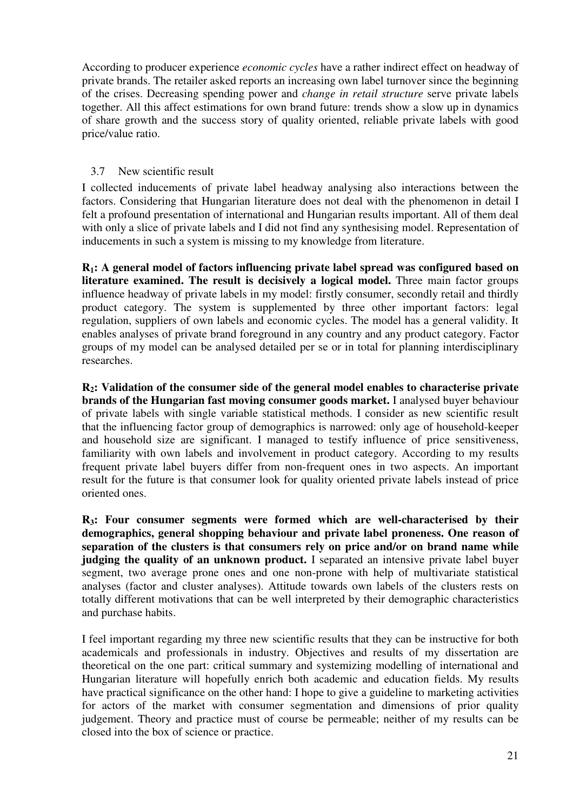According to producer experience *economic cycles* have a rather indirect effect on headway of private brands. The retailer asked reports an increasing own label turnover since the beginning of the crises. Decreasing spending power and *change in retail structure* serve private labels together. All this affect estimations for own brand future: trends show a slow up in dynamics of share growth and the success story of quality oriented, reliable private labels with good price/value ratio.

# 3.7 New scientific result

I collected inducements of private label headway analysing also interactions between the factors. Considering that Hungarian literature does not deal with the phenomenon in detail I felt a profound presentation of international and Hungarian results important. All of them deal with only a slice of private labels and I did not find any synthesising model. Representation of inducements in such a system is missing to my knowledge from literature.

**R1: A general model of factors influencing private label spread was configured based on literature examined. The result is decisively a logical model.** Three main factor groups influence headway of private labels in my model: firstly consumer, secondly retail and thirdly product category. The system is supplemented by three other important factors: legal regulation, suppliers of own labels and economic cycles. The model has a general validity. It enables analyses of private brand foreground in any country and any product category. Factor groups of my model can be analysed detailed per se or in total for planning interdisciplinary researches.

**R2: Validation of the consumer side of the general model enables to characterise private brands of the Hungarian fast moving consumer goods market.** I analysed buyer behaviour of private labels with single variable statistical methods. I consider as new scientific result that the influencing factor group of demographics is narrowed: only age of household-keeper and household size are significant. I managed to testify influence of price sensitiveness, familiarity with own labels and involvement in product category. According to my results frequent private label buyers differ from non-frequent ones in two aspects. An important result for the future is that consumer look for quality oriented private labels instead of price oriented ones.

**R3: Four consumer segments were formed which are well-characterised by their demographics, general shopping behaviour and private label proneness. One reason of separation of the clusters is that consumers rely on price and/or on brand name while judging the quality of an unknown product.** I separated an intensive private label buyer segment, two average prone ones and one non-prone with help of multivariate statistical analyses (factor and cluster analyses). Attitude towards own labels of the clusters rests on totally different motivations that can be well interpreted by their demographic characteristics and purchase habits.

I feel important regarding my three new scientific results that they can be instructive for both academicals and professionals in industry. Objectives and results of my dissertation are theoretical on the one part: critical summary and systemizing modelling of international and Hungarian literature will hopefully enrich both academic and education fields. My results have practical significance on the other hand: I hope to give a guideline to marketing activities for actors of the market with consumer segmentation and dimensions of prior quality judgement. Theory and practice must of course be permeable; neither of my results can be closed into the box of science or practice.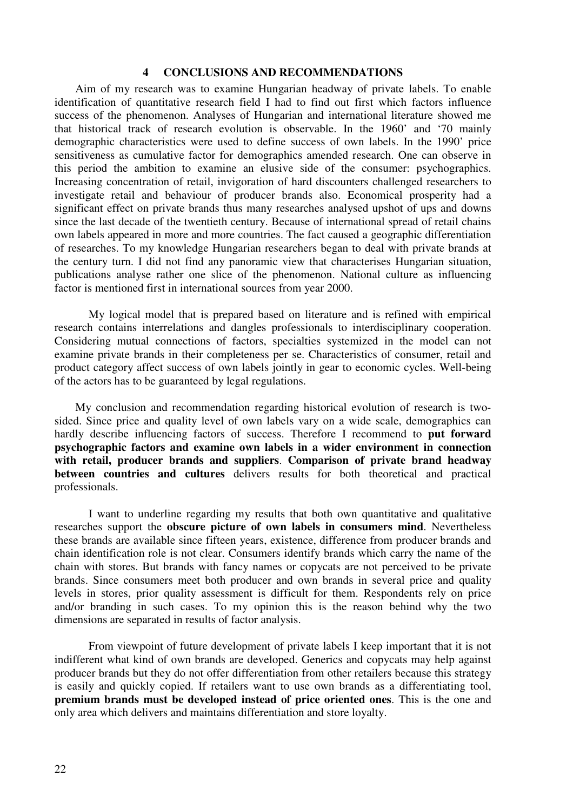#### **4 CONCLUSIONS AND RECOMMENDATIONS**

Aim of my research was to examine Hungarian headway of private labels. To enable identification of quantitative research field I had to find out first which factors influence success of the phenomenon. Analyses of Hungarian and international literature showed me that historical track of research evolution is observable. In the 1960' and '70 mainly demographic characteristics were used to define success of own labels. In the 1990' price sensitiveness as cumulative factor for demographics amended research. One can observe in this period the ambition to examine an elusive side of the consumer: psychographics. Increasing concentration of retail, invigoration of hard discounters challenged researchers to investigate retail and behaviour of producer brands also. Economical prosperity had a significant effect on private brands thus many researches analysed upshot of ups and downs since the last decade of the twentieth century. Because of international spread of retail chains own labels appeared in more and more countries. The fact caused a geographic differentiation of researches. To my knowledge Hungarian researchers began to deal with private brands at the century turn. I did not find any panoramic view that characterises Hungarian situation, publications analyse rather one slice of the phenomenon. National culture as influencing factor is mentioned first in international sources from year 2000.

My logical model that is prepared based on literature and is refined with empirical research contains interrelations and dangles professionals to interdisciplinary cooperation. Considering mutual connections of factors, specialties systemized in the model can not examine private brands in their completeness per se. Characteristics of consumer, retail and product category affect success of own labels jointly in gear to economic cycles. Well-being of the actors has to be guaranteed by legal regulations.

My conclusion and recommendation regarding historical evolution of research is twosided. Since price and quality level of own labels vary on a wide scale, demographics can hardly describe influencing factors of success. Therefore I recommend to **put forward psychographic factors and examine own labels in a wider environment in connection with retail, producer brands and suppliers**. **Comparison of private brand headway between countries and cultures** delivers results for both theoretical and practical professionals.

I want to underline regarding my results that both own quantitative and qualitative researches support the **obscure picture of own labels in consumers mind**. Nevertheless these brands are available since fifteen years, existence, difference from producer brands and chain identification role is not clear. Consumers identify brands which carry the name of the chain with stores. But brands with fancy names or copycats are not perceived to be private brands. Since consumers meet both producer and own brands in several price and quality levels in stores, prior quality assessment is difficult for them. Respondents rely on price and/or branding in such cases. To my opinion this is the reason behind why the two dimensions are separated in results of factor analysis.

From viewpoint of future development of private labels I keep important that it is not indifferent what kind of own brands are developed. Generics and copycats may help against producer brands but they do not offer differentiation from other retailers because this strategy is easily and quickly copied. If retailers want to use own brands as a differentiating tool, **premium brands must be developed instead of price oriented ones**. This is the one and only area which delivers and maintains differentiation and store loyalty.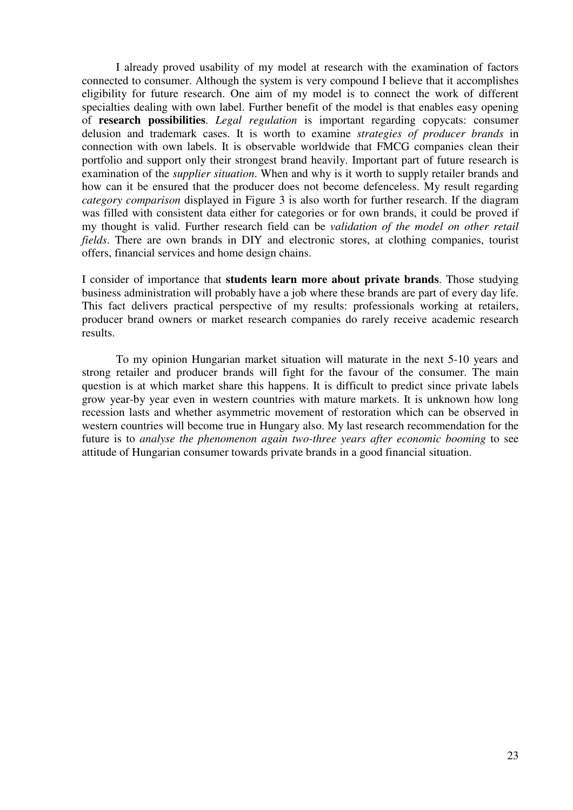I already proved usability of my model at research with the examination of factors connected to consumer. Although the system is very compound I believe that it accomplishes eligibility for future research. One aim of my model is to connect the work of different specialties dealing with own label. Further benefit of the model is that enables easy opening of **research possibilities**. *Legal regulation* is important regarding copycats: consumer delusion and trademark cases. It is worth to examine *strategies of producer brands* in connection with own labels. It is observable worldwide that FMCG companies clean their portfolio and support only their strongest brand heavily. Important part of future research is examination of the *supplier situation*. When and why is it worth to supply retailer brands and how can it be ensured that the producer does not become defenceless. My result regarding *category comparison* displayed in Figure 3 is also worth for further research. If the diagram was filled with consistent data either for categories or for own brands, it could be proved if my thought is valid. Further research field can be *validation of the model on other retail fields*. There are own brands in DIY and electronic stores, at clothing companies, tourist offers, financial services and home design chains.

I consider of importance that **students learn more about private brands**. Those studying business administration will probably have a job where these brands are part of every day life. This fact delivers practical perspective of my results: professionals working at retailers, producer brand owners or market research companies do rarely receive academic research results.

To my opinion Hungarian market situation will maturate in the next 5-10 years and strong retailer and producer brands will fight for the favour of the consumer. The main question is at which market share this happens. It is difficult to predict since private labels grow year-by year even in western countries with mature markets. It is unknown how long recession lasts and whether asymmetric movement of restoration which can be observed in western countries will become true in Hungary also. My last research recommendation for the future is to *analyse the phenomenon again two-three years after economic booming* to see attitude of Hungarian consumer towards private brands in a good financial situation.